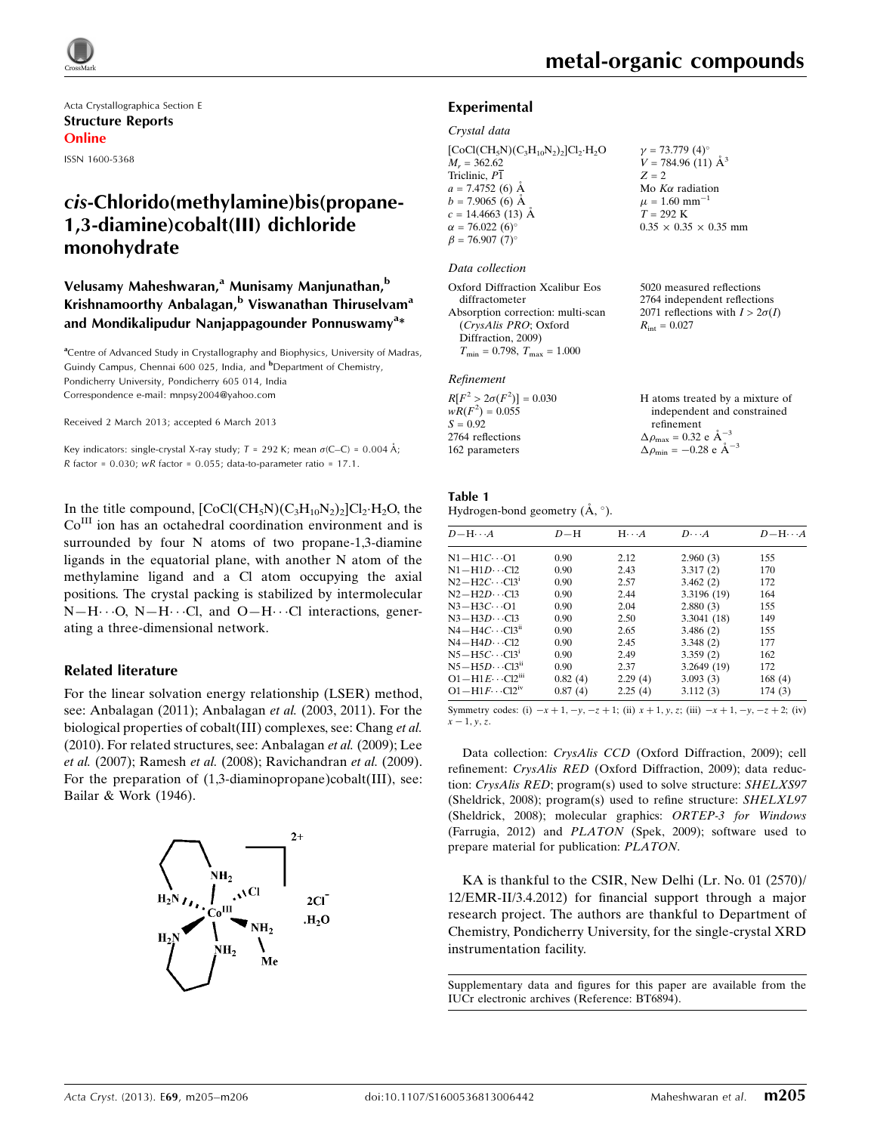

Acta Crystallographica Section E Structure Reports Online ISSN 1600-5368

# cis-Chlorido(methylamine)bis(propane-1,3-diamine)cobalt(III) dichloride monohydrate

## Velusamy Maheshwaran,<sup>a</sup> Munisamy Manjunathan,<sup>b</sup> Krishnamoorthy Anbalagan, $b$  Viswanathan Thiruselvam<sup>a</sup> and Mondikalipudur Nanjappagounder Ponnuswamy<sup>a</sup>\*

<sup>a</sup>Centre of Advanced Study in Crystallography and Biophysics, University of Madras, Guindy Campus, Chennai 600 025, India, and <sup>b</sup>Department of Chemistry, Pondicherry University, Pondicherry 605 014, India Correspondence e-mail: [mnpsy2004@yahoo.com](https://scripts.iucr.org/cgi-bin/cr.cgi?rm=pdfbb&cnor=bt6894&bbid=BB13)

Received 2 March 2013; accepted 6 March 2013

Key indicators: single-crystal X-ray study;  $T = 292$  K; mean  $\sigma$ (C–C) = 0.004 Å;  $R$  factor = 0.030; wR factor = 0.055; data-to-parameter ratio = 17.1.

In the title compound,  $[CoCl(CH<sub>5</sub>N)(C<sub>3</sub>H<sub>10</sub>N<sub>2</sub>)<sub>2</sub>]Cl<sub>2</sub>·H<sub>2</sub>O$ , the Co<sup>III</sup> ion has an octahedral coordination environment and is surrounded by four N atoms of two propane-1,3-diamine ligands in the equatorial plane, with another N atom of the methylamine ligand and a Cl atom occupying the axial positions. The crystal packing is stabilized by intermolecular  $N-H\cdots O$ ,  $N-H\cdots Cl$ , and  $O-H\cdots Cl$  interactions, generating a three-dimensional network.

#### Related literature

For the linear solvation energy relationship (LSER) method, see: Anbalagan (2011); Anbalagan et al. (2003, 2011). For the biological properties of cobalt(III) complexes, see: Chang et al. (2010). For related structures, see: Anbalagan et al. (2009); Lee et al. (2007); Ramesh et al. (2008); Ravichandran et al. (2009). For the preparation of  $(1,3$ -diaminopropane)cobalt(III), see: Bailar & Work (1946).



 $\nu = 73.779$  (4)<sup>o</sup>  $V = 784.96(11)$   $\AA^3$ 

 $Z = 2$ 

#### Experimental

#### Crystal data

 $[CoCl(CH<sub>5</sub>N)(C<sub>3</sub>H<sub>10</sub>N<sub>2</sub>)<sub>2</sub>]Cl<sub>2</sub>·H<sub>2</sub>O$  $M_r = 362.62$ Triclinic, P1  $a = 7.4752(6)$  Å  $b = 7.9065(6)$  Å  $c = 14.4663(13)$  Å  $\alpha = 76.022(6)$  $\beta = 76.907 (7)^{\circ}$ 

#### Data collection

| Oxford Diffraction Xcalibur Eos         |
|-----------------------------------------|
| diffractometer                          |
| Absorption correction: multi-scan       |
| (CrysAlis PRO; Oxford                   |
| Diffraction, 2009)                      |
| $T_{\min} = 0.798$ , $T_{\max} = 1.000$ |

#### Refinement

 $R[F^2 > 2\sigma(F^2)] = 0.030$  $wR(F^2) = 0.055$  $S = 0.92$ 2764 reflections 162 parameters

Mo  $K\alpha$  radiation  $\mu = 1.60$  mm<sup>-1</sup>  $T = 292$  K  $0.35 \times 0.35 \times 0.35$  mm

5020 measured reflections 2764 independent reflections 2071 reflections with  $I > 2\sigma(I)$  $R_{\text{int}} = 0.027$ 

| H atoms treated by a mixture of                    |
|----------------------------------------------------|
| independent and constrained                        |
| refinement                                         |
| $\Delta \rho_{\text{max}} = 0.32 \text{ e A}^{-3}$ |
| $\Delta \rho_{\text{min}} = -0.28$ e $\AA^{-3}$    |

#### Table 1

Hydrogen-bond geometry  $(\AA, \degree)$ .

| $D - H \cdots A$                            | $D-H$   | $H \cdot \cdot \cdot A$ | $D\cdots A$ | $D - H \cdots A$ |
|---------------------------------------------|---------|-------------------------|-------------|------------------|
| N1-H1C…O1                                   | 0.90    | 2.12                    | 2.960(3)    | 155              |
| $N1 - H1D \cdots C12$                       | 0.90    | 2.43                    | 3.317(2)    | 170              |
| $N2-\text{H2}C\cdots\text{Cl3}^1$           | 0.90    | 2.57                    | 3.462(2)    | 172              |
| $N2 - H2D \cdots C13$                       | 0.90    | 2.44                    | 3.3196 (19) | 164              |
| $N3 - H3C \cdots$ O1                        | 0.90    | 2.04                    | 2.880(3)    | 155              |
| $N3 - H3D \cdots C13$                       | 0.90    | 2.50                    | 3.3041(18)  | 149              |
| $N4-\text{H4}C\cdots\text{Cl3}^{\text{II}}$ | 0.90    | 2.65                    | 3.486(2)    | 155              |
| $N4 - H4D \cdots C12$                       | 0.90    | 2.45                    | 3.348(2)    | 177              |
| $N5-H5C\cdots C131$                         | 0.90    | 2.49                    | 3.359(2)    | 162              |
| $N5 - H5D \cdots C13^n$                     | 0.90    | 2.37                    | 3.2649(19)  | 172              |
| $O1 - H1E \cdots Cl2m$                      | 0.82(4) | 2.29(4)                 | 3.093(3)    | 168(4)           |
| $O1 - H1F \cdots C12IV$                     | 0.87(4) | 2.25(4)                 | 3.112(3)    | 174(3)           |
|                                             |         |                         |             |                  |

Symmetry codes: (i)  $-x + 1$ ,  $-y$ ,  $-z + 1$ ; (ii)  $x + 1$ ,  $y$ ,  $z$ ; (iii)  $-x + 1$ ,  $-y$ ,  $-z + 2$ ; (iv)  $x - 1, y, z.$ 

Data collection: CrysAlis CCD (Oxford Diffraction, 2009); cell refinement: CrysAlis RED (Oxford Diffraction, 2009); data reduction: CrysAlis RED; program(s) used to solve structure: SHELXS97 (Sheldrick, 2008); program(s) used to refine structure: SHELXL97 (Sheldrick, 2008); molecular graphics: ORTEP-3 for Windows (Farrugia, 2012) and PLATON (Spek, 2009); software used to prepare material for publication: PLATON.

KA is thankful to the CSIR, New Delhi (Lr. No. 01 (2570)/ 12/EMR-II/3.4.2012) for financial support through a major research project. The authors are thankful to Department of Chemistry, Pondicherry University, for the single-crystal XRD instrumentation facility.

Supplementary data and figures for this paper are available from the IUCr electronic archives (Reference: BT6894).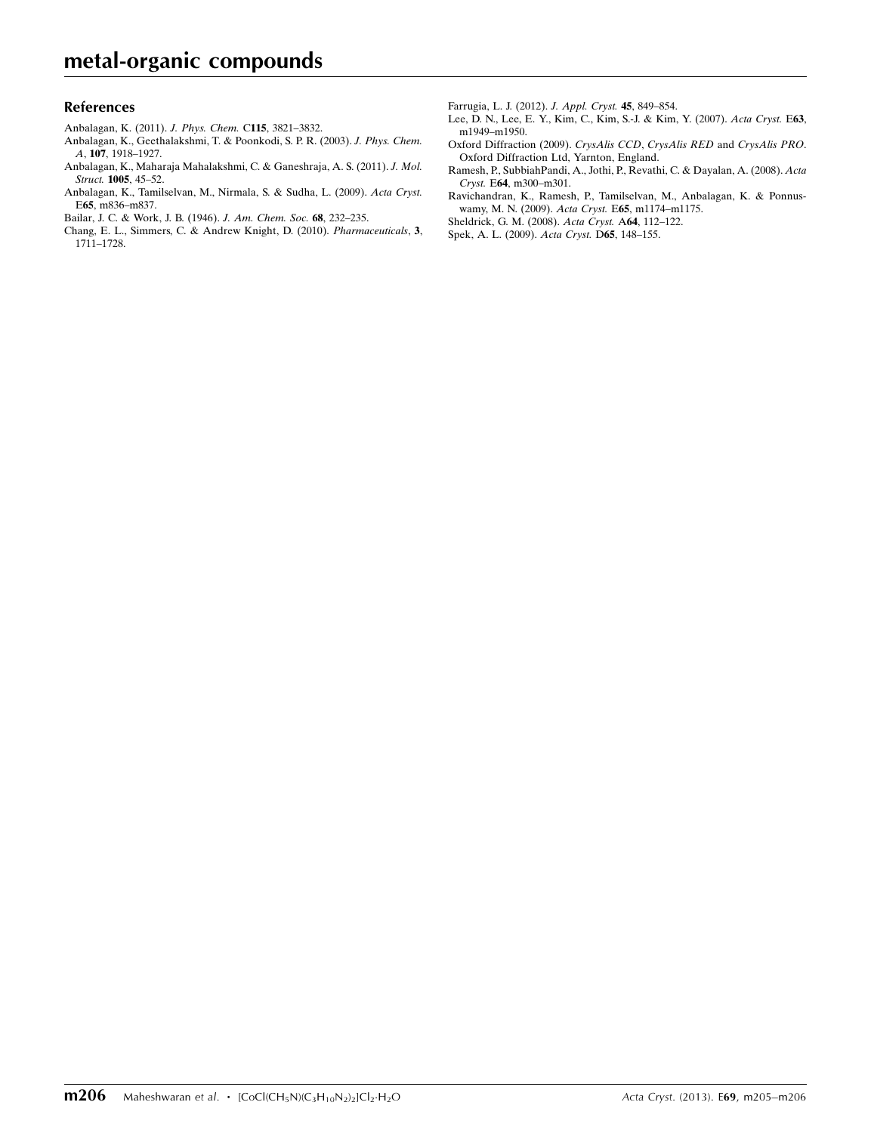#### References

- [Anbalagan, K. \(2011\).](https://scripts.iucr.org/cgi-bin/cr.cgi?rm=pdfbb&cnor=bt6894&bbid=BB1) J. Phys. Chem. C115, 3821–3832.
- [Anbalagan, K., Geethalakshmi, T. & Poonkodi, S. P. R. \(2003\).](https://scripts.iucr.org/cgi-bin/cr.cgi?rm=pdfbb&cnor=bt6894&bbid=BB2) J. Phys. Chem. A, 107[, 1918–1927.](https://scripts.iucr.org/cgi-bin/cr.cgi?rm=pdfbb&cnor=bt6894&bbid=BB2)
- [Anbalagan, K., Maharaja Mahalakshmi, C. & Ganeshraja, A. S. \(2011\).](https://scripts.iucr.org/cgi-bin/cr.cgi?rm=pdfbb&cnor=bt6894&bbid=BB3) J. Mol. Struct. 1005[, 45–52.](https://scripts.iucr.org/cgi-bin/cr.cgi?rm=pdfbb&cnor=bt6894&bbid=BB3)
- [Anbalagan, K., Tamilselvan, M., Nirmala, S. & Sudha, L. \(2009\).](https://scripts.iucr.org/cgi-bin/cr.cgi?rm=pdfbb&cnor=bt6894&bbid=BB4) Acta Cryst. E65[, m836–m837.](https://scripts.iucr.org/cgi-bin/cr.cgi?rm=pdfbb&cnor=bt6894&bbid=BB4)
- [Bailar, J. C. & Work, J. B. \(1946\).](https://scripts.iucr.org/cgi-bin/cr.cgi?rm=pdfbb&cnor=bt6894&bbid=BB5) J. Am. Chem. Soc. 68, 232–235.
- [Chang, E. L., Simmers, C. & Andrew Knight, D. \(2010\).](https://scripts.iucr.org/cgi-bin/cr.cgi?rm=pdfbb&cnor=bt6894&bbid=BB6) Pharmaceuticals, 3, [1711–1728.](https://scripts.iucr.org/cgi-bin/cr.cgi?rm=pdfbb&cnor=bt6894&bbid=BB6)

[Farrugia, L. J. \(2012\).](https://scripts.iucr.org/cgi-bin/cr.cgi?rm=pdfbb&cnor=bt6894&bbid=BB7) J. Appl. Cryst. 45, 849–854.

- [Lee, D. N., Lee, E. Y., Kim, C., Kim, S.-J. & Kim, Y. \(2007\).](https://scripts.iucr.org/cgi-bin/cr.cgi?rm=pdfbb&cnor=bt6894&bbid=BB8) Acta Cryst. E63, [m1949–m1950.](https://scripts.iucr.org/cgi-bin/cr.cgi?rm=pdfbb&cnor=bt6894&bbid=BB8)
- [Oxford Diffraction \(2009\).](https://scripts.iucr.org/cgi-bin/cr.cgi?rm=pdfbb&cnor=bt6894&bbid=BB9) CrysAlis CCD, CrysAlis RED and CrysAlis PRO. [Oxford Diffraction Ltd, Yarnton, England.](https://scripts.iucr.org/cgi-bin/cr.cgi?rm=pdfbb&cnor=bt6894&bbid=BB9)
- [Ramesh, P., SubbiahPandi, A., Jothi, P., Revathi, C. & Dayalan, A. \(2008\).](https://scripts.iucr.org/cgi-bin/cr.cgi?rm=pdfbb&cnor=bt6894&bbid=BB10) Acta Cryst. E64[, m300–m301.](https://scripts.iucr.org/cgi-bin/cr.cgi?rm=pdfbb&cnor=bt6894&bbid=BB10)
- [Ravichandran, K., Ramesh, P., Tamilselvan, M., Anbalagan, K. & Ponnus](https://scripts.iucr.org/cgi-bin/cr.cgi?rm=pdfbb&cnor=bt6894&bbid=BB11)[wamy, M. N. \(2009\).](https://scripts.iucr.org/cgi-bin/cr.cgi?rm=pdfbb&cnor=bt6894&bbid=BB11) Acta Cryst. E65, m1174–m1175.
- [Sheldrick, G. M. \(2008\).](https://scripts.iucr.org/cgi-bin/cr.cgi?rm=pdfbb&cnor=bt6894&bbid=BB12) Acta Cryst. A64, 112–122.
- [Spek, A. L. \(2009\).](https://scripts.iucr.org/cgi-bin/cr.cgi?rm=pdfbb&cnor=bt6894&bbid=BB13) Acta Cryst. D65, 148–155.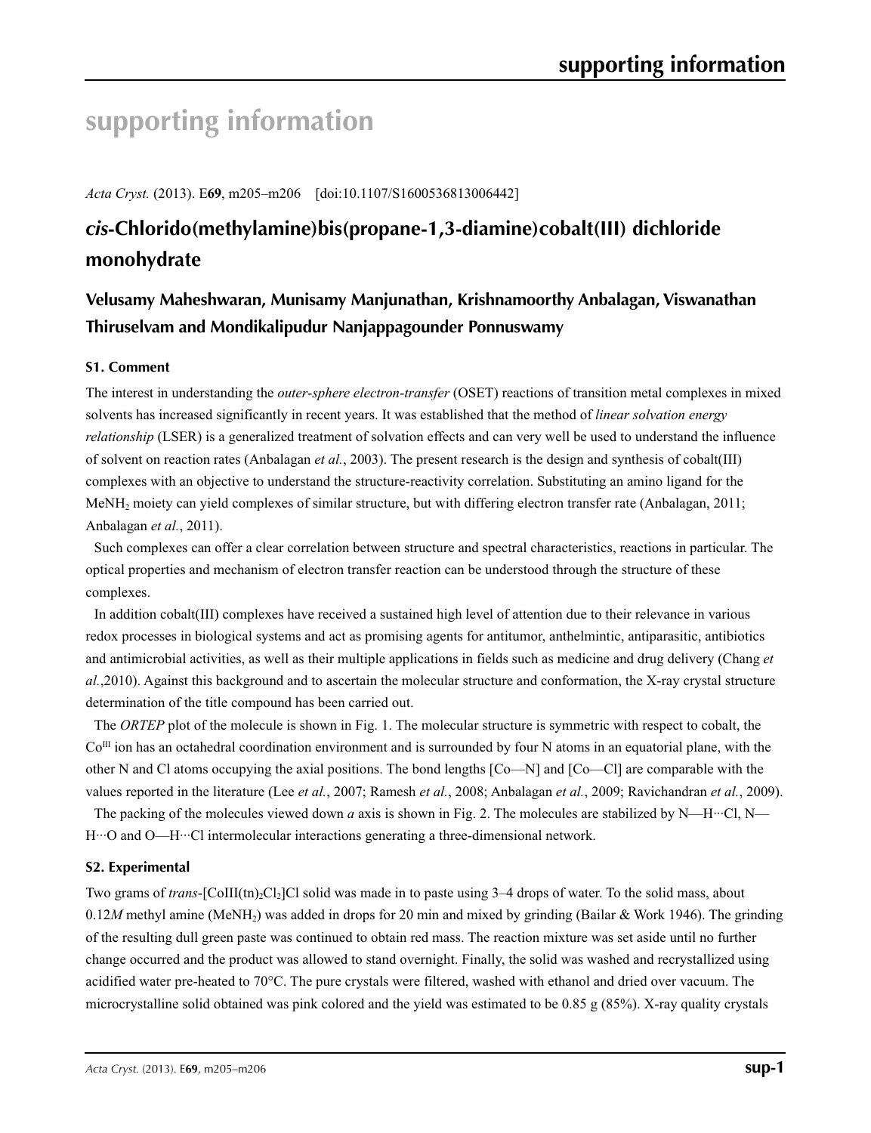# **supporting information**

*Acta Cryst.* (2013). E**69**, m205–m206 [doi:10.1107/S1600536813006442]

# *cis***-Chlorido(methylamine)bis(propane-1,3-diamine)cobalt(III) dichloride monohydrate**

## **Velusamy Maheshwaran, Munisamy Manjunathan, Krishnamoorthy Anbalagan, Viswanathan Thiruselvam and Mondikalipudur Nanjappagounder Ponnuswamy**

### **S1. Comment**

The interest in understanding the *outer*-*sphere electron*-*transfer* (OSET) reactions of transition metal complexes in mixed solvents has increased significantly in recent years. It was established that the method of *linear solvation energy relationship* (LSER) is a generalized treatment of solvation effects and can very well be used to understand the influence of solvent on reaction rates (Anbalagan *et al.*, 2003). The present research is the design and synthesis of cobalt(III) complexes with an objective to understand the structure-reactivity correlation. Substituting an amino ligand for the MeNH2 moiety can yield complexes of similar structure, but with differing electron transfer rate (Anbalagan, 2011; Anbalagan *et al.*, 2011).

Such complexes can offer a clear correlation between structure and spectral characteristics, reactions in particular. The optical properties and mechanism of electron transfer reaction can be understood through the structure of these complexes.

In addition cobalt(III) complexes have received a sustained high level of attention due to their relevance in various redox processes in biological systems and act as promising agents for antitumor, anthelmintic, antiparasitic, antibiotics and antimicrobial activities, as well as their multiple applications in fields such as medicine and drug delivery (Chang *et al.*,2010). Against this background and to ascertain the molecular structure and conformation, the X-ray crystal structure determination of the title compound has been carried out.

The *ORTEP* plot of the molecule is shown in Fig. 1. The molecular structure is symmetric with respect to cobalt, the  $Co<sup>III</sup>$  ion has an octahedral coordination environment and is surrounded by four N atoms in an equatorial plane, with the other N and Cl atoms occupying the axial positions. The bond lengths [Co—N] and [Co—Cl] are comparable with the values reported in the literature (Lee *et al.*, 2007; Ramesh *et al.*, 2008; Anbalagan *et al.*, 2009; Ravichandran *et al.*, 2009).

The packing of the molecules viewed down *a* axis is shown in Fig. 2. The molecules are stabilized by N—H…Cl, N— H···O and O—H···Cl intermolecular interactions generating a three-dimensional network.

#### **S2. Experimental**

Two grams of *trans*-[CoIII(tn)<sub>2</sub>Cl<sub>2</sub>]Cl solid was made in to paste using 3–4 drops of water. To the solid mass, about 0.12*M* methyl amine (MeNH<sub>2</sub>) was added in drops for 20 min and mixed by grinding (Bailar & Work 1946). The grinding of the resulting dull green paste was continued to obtain red mass. The reaction mixture was set aside until no further change occurred and the product was allowed to stand overnight. Finally, the solid was washed and recrystallized using acidified water pre-heated to 70°C. The pure crystals were filtered, washed with ethanol and dried over vacuum. The microcrystalline solid obtained was pink colored and the yield was estimated to be 0.85 g (85%). X-ray quality crystals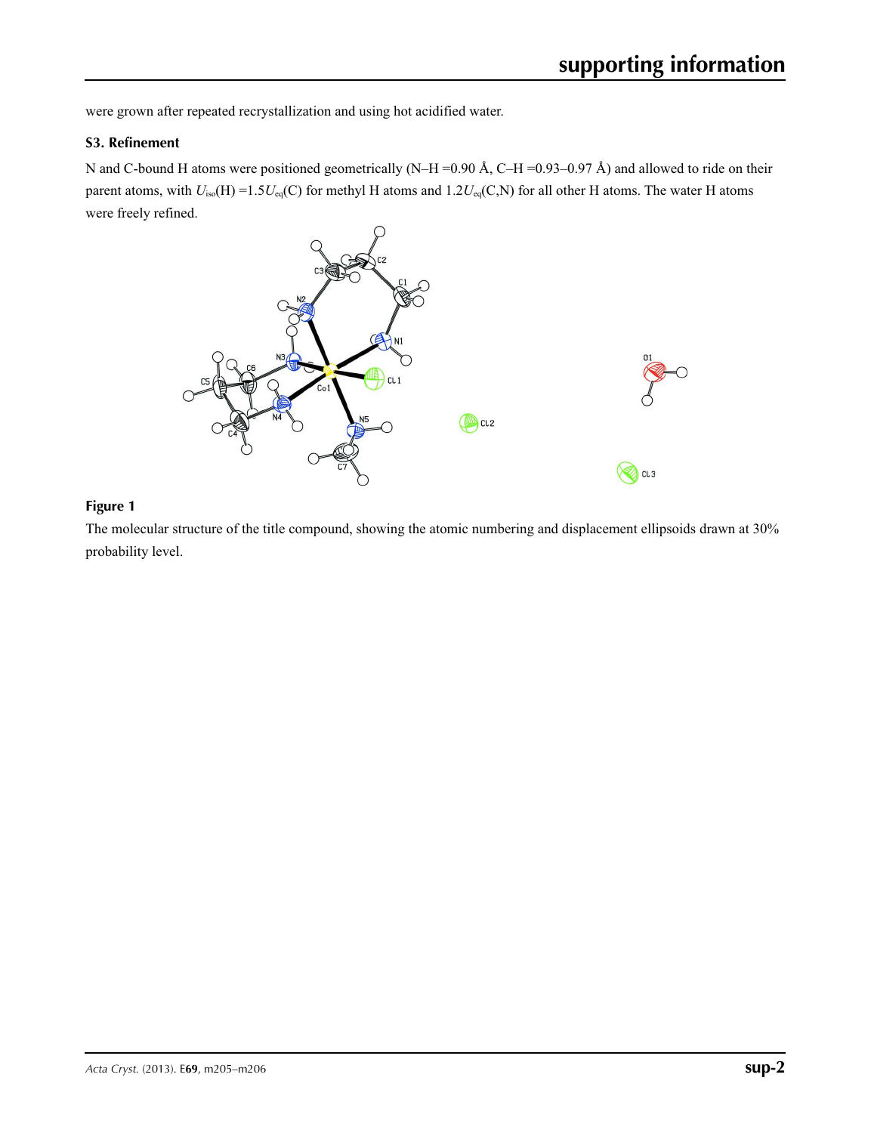were grown after repeated recrystallization and using hot acidified water.

#### **S3. Refinement**

N and C-bound H atoms were positioned geometrically (N–H =0.90 Å, C–H =0.93–0.97 Å) and allowed to ride on their parent atoms, with  $U_{iso}(H) = 1.5U_{eq}(C)$  for methyl H atoms and  $1.2U_{eq}(C,N)$  for all other H atoms. The water H atoms were freely refined.



### **Figure 1**

The molecular structure of the title compound, showing the atomic numbering and displacement ellipsoids drawn at 30% probability level.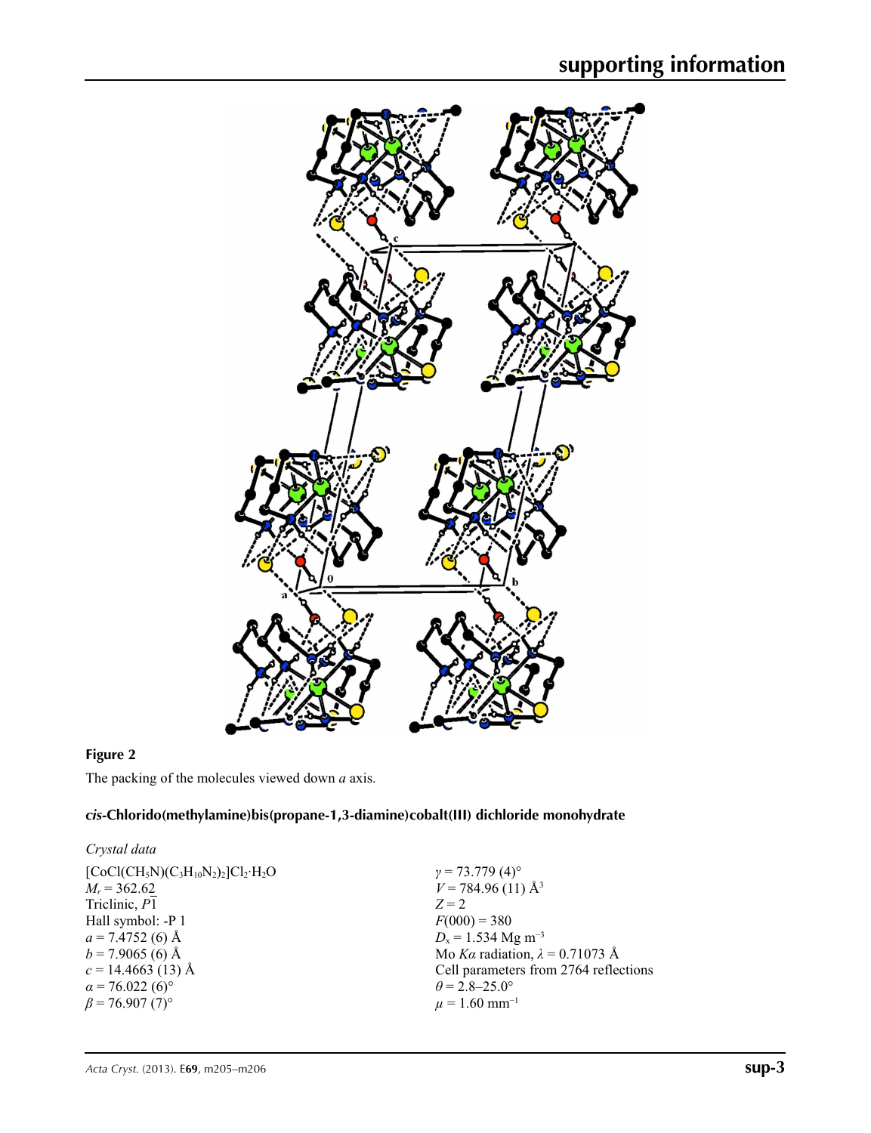

## **Figure 2**

The packing of the molecules viewed down *a* axis.

### *cis***-Chlorido(methylamine)bis(propane-1,3-diamine)cobalt(III) dichloride monohydrate**

#### *Crystal data*

| $[CoCl(CH5N)(C3H10N2)2]Cl2·H2O$    |
|------------------------------------|
| $M_r = 362.62$                     |
| Triclinic, P1                      |
| Hall symbol: -P 1                  |
| $a = 7.4752$ (6) Å                 |
| $b = 7.9065$ (6) Å                 |
| $c = 14.4663(13)$ Å                |
| $\alpha$ = 76.022 (6) <sup>o</sup> |
| $\beta$ = 76.907 (7) <sup>o</sup>  |
|                                    |

*γ* = 73.779 (4)°  $V = 784.96(11)$  Å<sup>3</sup> *Z* = 2  $F(000) = 380$ *D*<sub>x</sub> = 1.534 Mg m<sup>-3</sup> Mo *Kα* radiation, *λ* = 0.71073 Å Cell parameters from 2764 reflections  $\theta$  = 2.8–25.0°  $\mu$  = 1.60 mm<sup>-1</sup>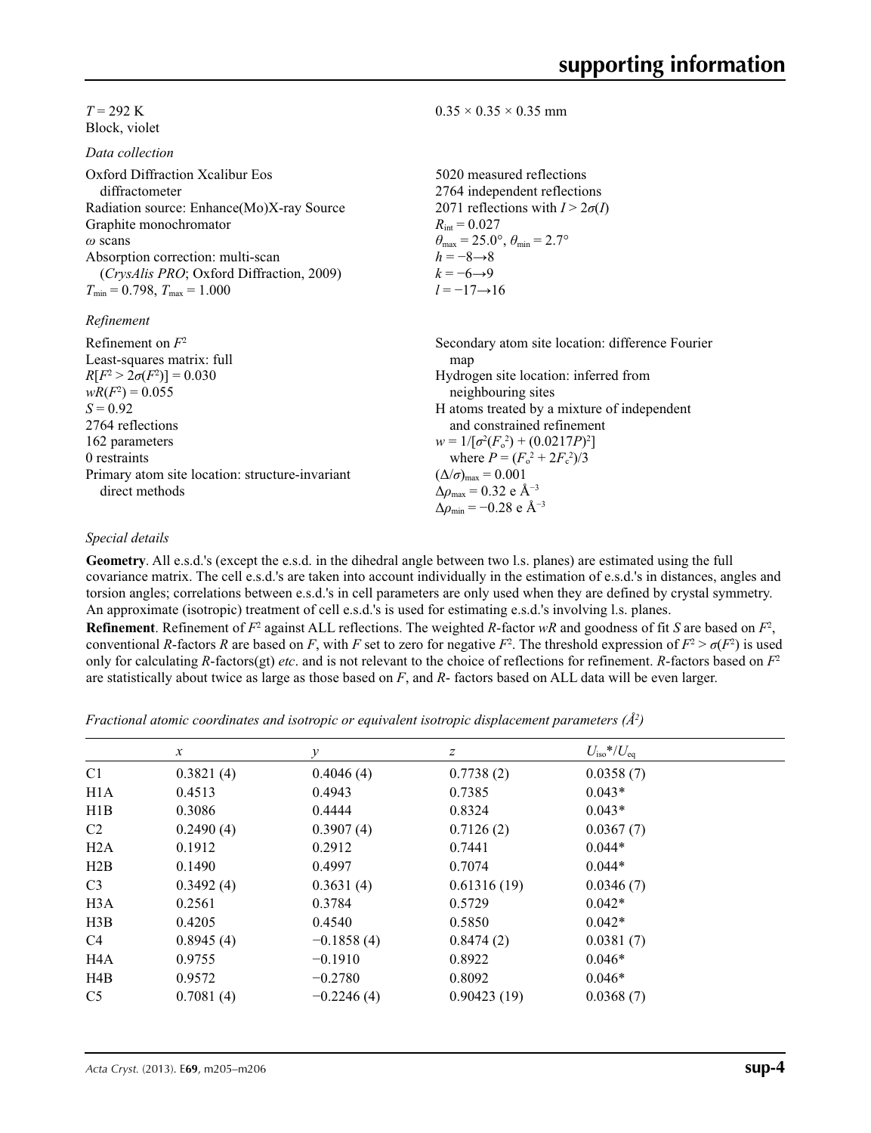$T = 292 \text{ K}$ Block, violet

*Data collection*

| Oxford Diffraction Xcalibur Eos<br>diffractometer | 5020 measured reflections<br>2764 independent reflections               |
|---------------------------------------------------|-------------------------------------------------------------------------|
| Radiation source: Enhance(Mo)X-ray Source         | 2071 reflections with $I > 2\sigma(I)$                                  |
| Graphite monochromator                            | $R_{\rm int} = 0.027$                                                   |
| $\omega$ scans                                    | $\theta_{\text{max}} = 25.0^{\circ}, \theta_{\text{min}} = 2.7^{\circ}$ |
| Absorption correction: multi-scan                 | $h = -8 \rightarrow 8$                                                  |
| <i>(CrysAlis PRO</i> ; Oxford Diffraction, 2009)  | $k = -6 \rightarrow 9$                                                  |
| $T_{\min} = 0.798$ , $T_{\max} = 1.000$           | $l = -17 \rightarrow 16$                                                |
| Refinement                                        |                                                                         |
| Refinement on $F^2$                               | Secondary atom site location: difference Fourier                        |
| Least-squares matrix: full                        | map                                                                     |
| $R[F^2 > 2\sigma(F^2)] = 0.030$                   | Hydrogen site location: inferred from                                   |
|                                                   |                                                                         |

 $0.35 \times 0.35 \times 0.35$  mm

 $wR(F^2) = 0.055$  $S = 0.92$ 2764 reflections 162 parameters 0 restraints Primary atom site location: structure-invariant direct methods neighbouring sites H atoms treated by a mixture of independent and constrained refinement  $w = 1/[\sigma^2 (F_o^2) + (0.0217P)^2]$ where  $P = (F_o^2 + 2F_c^2)/3$  $(\Delta/\sigma)_{\text{max}} = 0.001$ Δ*ρ*max = 0.32 e Å−3  $\Delta\rho_{\rm min}$  = −0.28 e Å<sup>-3</sup>

#### *Special details*

**Geometry**. All e.s.d.'s (except the e.s.d. in the dihedral angle between two l.s. planes) are estimated using the full covariance matrix. The cell e.s.d.'s are taken into account individually in the estimation of e.s.d.'s in distances, angles and torsion angles; correlations between e.s.d.'s in cell parameters are only used when they are defined by crystal symmetry. An approximate (isotropic) treatment of cell e.s.d.'s is used for estimating e.s.d.'s involving l.s. planes.

**Refinement**. Refinement of  $F^2$  against ALL reflections. The weighted *R*-factor  $wR$  and goodness of fit *S* are based on  $F^2$ , conventional *R*-factors *R* are based on *F*, with *F* set to zero for negative  $F^2$ . The threshold expression of  $F^2 > \sigma(F^2)$  is used only for calculating *R*-factors(gt) *etc*. and is not relevant to the choice of reflections for refinement. *R*-factors based on *F*<sup>2</sup> are statistically about twice as large as those based on *F*, and *R*- factors based on ALL data will be even larger.

*Fractional atomic coordinates and isotropic or equivalent isotropic displacement parameters (Å<sup>2</sup>)* 

|                  | $\boldsymbol{x}$ | у            | z           | $U_{\rm iso}$ */ $U_{\rm eq}$ |  |
|------------------|------------------|--------------|-------------|-------------------------------|--|
| C <sub>1</sub>   | 0.3821(4)        | 0.4046(4)    | 0.7738(2)   | 0.0358(7)                     |  |
| H <sub>1</sub> A | 0.4513           | 0.4943       | 0.7385      | $0.043*$                      |  |
| H1B              | 0.3086           | 0.4444       | 0.8324      | $0.043*$                      |  |
| C2               | 0.2490(4)        | 0.3907(4)    | 0.7126(2)   | 0.0367(7)                     |  |
| H <sub>2</sub> A | 0.1912           | 0.2912       | 0.7441      | $0.044*$                      |  |
| H2B              | 0.1490           | 0.4997       | 0.7074      | $0.044*$                      |  |
| C <sub>3</sub>   | 0.3492(4)        | 0.3631(4)    | 0.61316(19) | 0.0346(7)                     |  |
| H <sub>3</sub> A | 0.2561           | 0.3784       | 0.5729      | $0.042*$                      |  |
| H3B              | 0.4205           | 0.4540       | 0.5850      | $0.042*$                      |  |
| C <sub>4</sub>   | 0.8945(4)        | $-0.1858(4)$ | 0.8474(2)   | 0.0381(7)                     |  |
| H <sub>4</sub> A | 0.9755           | $-0.1910$    | 0.8922      | $0.046*$                      |  |
| H4B              | 0.9572           | $-0.2780$    | 0.8092      | $0.046*$                      |  |
| C <sub>5</sub>   | 0.7081(4)        | $-0.2246(4)$ | 0.90423(19) | 0.0368(7)                     |  |
|                  |                  |              |             |                               |  |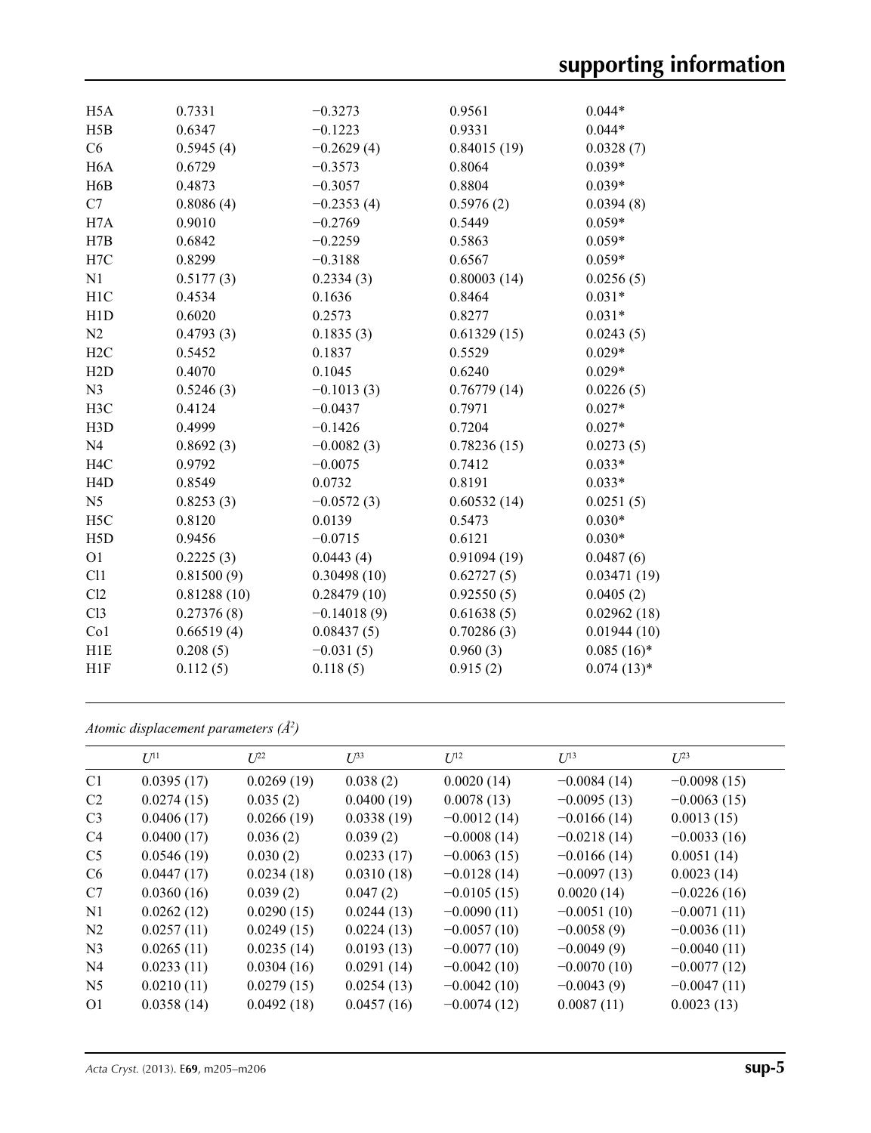| H <sub>5</sub> A | 0.7331      | $-0.3273$     | 0.9561      | $0.044*$      |
|------------------|-------------|---------------|-------------|---------------|
| H5B              | 0.6347      | $-0.1223$     | 0.9331      | $0.044*$      |
| C6               | 0.5945(4)   | $-0.2629(4)$  | 0.84015(19) | 0.0328(7)     |
| H <sub>6</sub> A | 0.6729      | $-0.3573$     | 0.8064      | $0.039*$      |
| H <sub>6</sub> B | 0.4873      | $-0.3057$     | 0.8804      | $0.039*$      |
| C7               | 0.8086(4)   | $-0.2353(4)$  | 0.5976(2)   | 0.0394(8)     |
| H7A              | 0.9010      | $-0.2769$     | 0.5449      | $0.059*$      |
| H7B              | 0.6842      | $-0.2259$     | 0.5863      | $0.059*$      |
| H7C              | 0.8299      | $-0.3188$     | 0.6567      | $0.059*$      |
| N1               | 0.5177(3)   | 0.2334(3)     | 0.80003(14) | 0.0256(5)     |
| H1C              | 0.4534      | 0.1636        | 0.8464      | $0.031*$      |
| H1D              | 0.6020      | 0.2573        | 0.8277      | $0.031*$      |
| N2               | 0.4793(3)   | 0.1835(3)     | 0.61329(15) | 0.0243(5)     |
| H2C              | 0.5452      | 0.1837        | 0.5529      | $0.029*$      |
| H2D              | 0.4070      | 0.1045        | 0.6240      | $0.029*$      |
| N <sub>3</sub>   | 0.5246(3)   | $-0.1013(3)$  | 0.76779(14) | 0.0226(5)     |
| H3C              | 0.4124      | $-0.0437$     | 0.7971      | $0.027*$      |
| H <sub>3</sub> D | 0.4999      | $-0.1426$     | 0.7204      | $0.027*$      |
| N <sub>4</sub>   | 0.8692(3)   | $-0.0082(3)$  | 0.78236(15) | 0.0273(5)     |
| H <sub>4</sub> C | 0.9792      | $-0.0075$     | 0.7412      | $0.033*$      |
| H <sub>4</sub> D | 0.8549      | 0.0732        | 0.8191      | $0.033*$      |
| N <sub>5</sub>   | 0.8253(3)   | $-0.0572(3)$  | 0.60532(14) | 0.0251(5)     |
| H <sub>5</sub> C | 0.8120      | 0.0139        | 0.5473      | $0.030*$      |
| H5D              | 0.9456      | $-0.0715$     | 0.6121      | $0.030*$      |
| O <sub>1</sub>   | 0.2225(3)   | 0.0443(4)     | 0.91094(19) | 0.0487(6)     |
| C11              | 0.81500(9)  | 0.30498(10)   | 0.62727(5)  | 0.03471(19)   |
| C12              | 0.81288(10) | 0.28479(10)   | 0.92550(5)  | 0.0405(2)     |
| C13              | 0.27376(8)  | $-0.14018(9)$ | 0.61638(5)  | 0.02962(18)   |
| Co1              | 0.66519(4)  | 0.08437(5)    | 0.70286(3)  | 0.01944(10)   |
| H1E              | 0.208(5)    | $-0.031(5)$   | 0.960(3)    | $0.085(16)$ * |
| H <sub>1</sub> F | 0.112(5)    | 0.118(5)      | 0.915(2)    | $0.074(13)*$  |
|                  |             |               |             |               |

*Atomic displacement parameters (Å2 )*

|                | $U^{11}$   | $L^{22}$   | $\mathcal{L}^{\beta 3}$ | $U^{12}$      | $U^{13}$      | $L^{23}$      |
|----------------|------------|------------|-------------------------|---------------|---------------|---------------|
| C <sub>1</sub> | 0.0395(17) | 0.0269(19) | 0.038(2)                | 0.0020(14)    | $-0.0084(14)$ | $-0.0098(15)$ |
| C2             | 0.0274(15) | 0.035(2)   | 0.0400(19)              | 0.0078(13)    | $-0.0095(13)$ | $-0.0063(15)$ |
| C <sub>3</sub> | 0.0406(17) | 0.0266(19) | 0.0338(19)              | $-0.0012(14)$ | $-0.0166(14)$ | 0.0013(15)    |
| C <sub>4</sub> | 0.0400(17) | 0.036(2)   | 0.039(2)                | $-0.0008(14)$ | $-0.0218(14)$ | $-0.0033(16)$ |
| C <sub>5</sub> | 0.0546(19) | 0.030(2)   | 0.0233(17)              | $-0.0063(15)$ | $-0.0166(14)$ | 0.0051(14)    |
| C <sub>6</sub> | 0.0447(17) | 0.0234(18) | 0.0310(18)              | $-0.0128(14)$ | $-0.0097(13)$ | 0.0023(14)    |
| C7             | 0.0360(16) | 0.039(2)   | 0.047(2)                | $-0.0105(15)$ | 0.0020(14)    | $-0.0226(16)$ |
| N <sub>1</sub> | 0.0262(12) | 0.0290(15) | 0.0244(13)              | $-0.0090(11)$ | $-0.0051(10)$ | $-0.0071(11)$ |
| N <sub>2</sub> | 0.0257(11) | 0.0249(15) | 0.0224(13)              | $-0.0057(10)$ | $-0.0058(9)$  | $-0.0036(11)$ |
| N <sub>3</sub> | 0.0265(11) | 0.0235(14) | 0.0193(13)              | $-0.0077(10)$ | $-0.0049(9)$  | $-0.0040(11)$ |
| N <sub>4</sub> | 0.0233(11) | 0.0304(16) | 0.0291(14)              | $-0.0042(10)$ | $-0.0070(10)$ | $-0.0077(12)$ |
| N <sub>5</sub> | 0.0210(11) | 0.0279(15) | 0.0254(13)              | $-0.0042(10)$ | $-0.0043(9)$  | $-0.0047(11)$ |
| O <sub>1</sub> | 0.0358(14) | 0.0492(18) | 0.0457(16)              | $-0.0074(12)$ | 0.0087(11)    | 0.0023(13)    |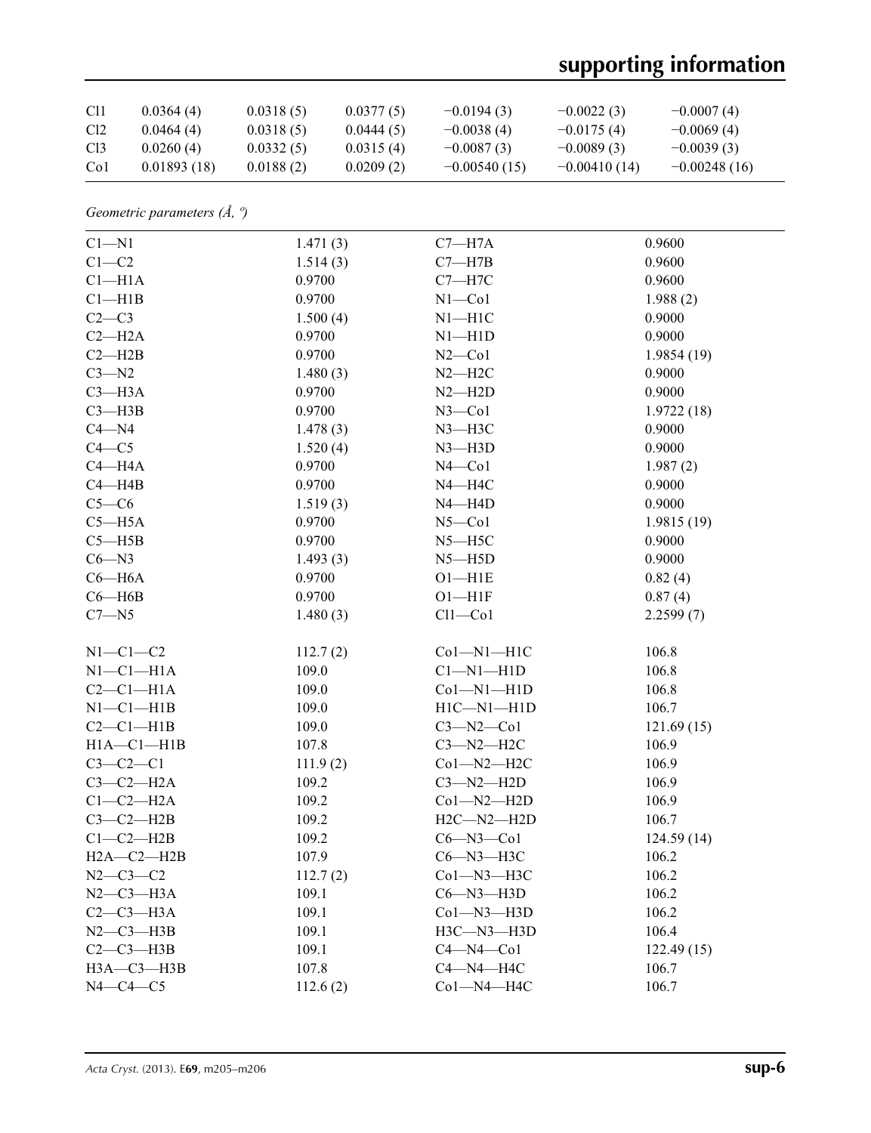# **supporting information**

| C <sub>11</sub> | 0.0364(4)   | 0.0318(5) | 0.0377(5) | $-0.0194(3)$   | $-0.0022(3)$   | $-0.0007(4)$   |
|-----------------|-------------|-----------|-----------|----------------|----------------|----------------|
| Cl <sub>2</sub> | 0.0464(4)   | 0.0318(5) | 0.0444(5) | $-0.0038(4)$   | $-0.0175(4)$   | $-0.0069(4)$   |
| Cl <sub>3</sub> | 0.0260(4)   | 0.0332(5) | 0.0315(4) | $-0.0087(3)$   | $-0.0089(3)$   | $-0.0039(3)$   |
| Co <sub>1</sub> | 0.01893(18) | 0.0188(2) | 0.0209(2) | $-0.00540(15)$ | $-0.00410(14)$ | $-0.00248(16)$ |

*Geometric parameters (Å, º)*

| $C1 - N1$        | 1.471(3) | $C7 - H7A$       | 0.9600     |
|------------------|----------|------------------|------------|
| $C1-C2$          | 1.514(3) | $C7 - H7B$       | 0.9600     |
| $Cl-H1A$         | 0.9700   | $C7 - H7C$       | 0.9600     |
| Cl—H1B           | 0.9700   | $N1 - Co1$       | 1.988(2)   |
| $C2-C3$          | 1.500(4) | $N1 - H1C$       | 0.9000     |
| $C2 - H2A$       | 0.9700   | $N1 - H1D$       | 0.9000     |
| $C2 - H2B$       | 0.9700   | $N2$ —Co1        | 1.9854(19) |
| $C3 - N2$        | 1.480(3) | $N2 - H2C$       | 0.9000     |
| $C3 - H3A$       | 0.9700   | $N2 - H2D$       | 0.9000     |
| $C3 - H3B$       | 0.9700   | $N3$ –Col        | 1.9722(18) |
| $C4 - N4$        | 1.478(3) | $N3 - H3C$       | 0.9000     |
| $C4 - C5$        | 1.520(4) | $N3$ -H3D        | 0.9000     |
| $C4 - H4A$       | 0.9700   | $N4$ —Co1        | 1.987(2)   |
| $C4 - H4B$       | 0.9700   | $N4 - H4C$       | 0.9000     |
| $C5-C6$          | 1.519(3) | $N4 - H4D$       | 0.9000     |
| $C5 - H5A$       | 0.9700   | $N5 - Co1$       | 1.9815(19) |
| $C5 - H5B$       | 0.9700   | $N5 - H5C$       | 0.9000     |
| $C6 - N3$        | 1.493(3) | $N5 - H5D$       | 0.9000     |
| $C6 - H6A$       | 0.9700   | $O1 - H1E$       | 0.82(4)    |
| $C6 - H6B$       | 0.9700   | $O1 - H1F$       | 0.87(4)    |
| $C7 - N5$        | 1.480(3) | $Cl1-C01$        | 2.2599(7)  |
| $N1-C1-C2$       | 112.7(2) | $Co1-M1-H1C$     | 106.8      |
| $N1-C1-H1A$      | 109.0    | $Cl-M1-H1D$      | 106.8      |
| $C2-C1-H1A$      | 109.0    | $Co1-M1-H1D$     | 106.8      |
| $N1-C1-H1B$      | 109.0    | $H1C - N1 - H1D$ | 106.7      |
| $C2-C1-H1B$      | 109.0    | $C3 - N2 - C01$  | 121.69(15) |
| $H1A - C1 - H1B$ | 107.8    | $C3 - N2 - H2C$  | 106.9      |
| $C3-C2-C1$       | 111.9(2) | $Co1 - N2 - H2C$ | 106.9      |
| $C3-C2-H2A$      | 109.2    | $C3 - N2 - H2D$  | 106.9      |
| $C1-C2-H2A$      | 109.2    | $Co1 - N2 - H2D$ | 106.9      |
| $C3-C2-H2B$      | 109.2    | $H2C - N2 - H2D$ | 106.7      |
| $C1-C2-H2B$      | 109.2    | $C6 - N3 - C01$  | 124.59(14) |
| $H2A - C2 - H2B$ | 107.9    | $C6 - N3 - H3C$  | 106.2      |
| $N2 - C3 - C2$   | 112.7(2) | $Co1 - N3 - H3C$ | 106.2      |
| $N2-C3-H3A$      | 109.1    | $C6 - N3 - H3D$  | 106.2      |
| $C2-C3-H3A$      | 109.1    | $Co1 - N3 - H3D$ | 106.2      |
| $N2-C3-H3B$      | 109.1    | H3C-N3-H3D       | 106.4      |
| $C2-C3-H3B$      | 109.1    | $C4 - N4 - C01$  | 122.49(15) |
| $H3A - C3 - H3B$ | 107.8    | $C4 - N4 - H4C$  | 106.7      |
| $N4-C4-C5$       | 112.6(2) | Co1-N4-H4C       | 106.7      |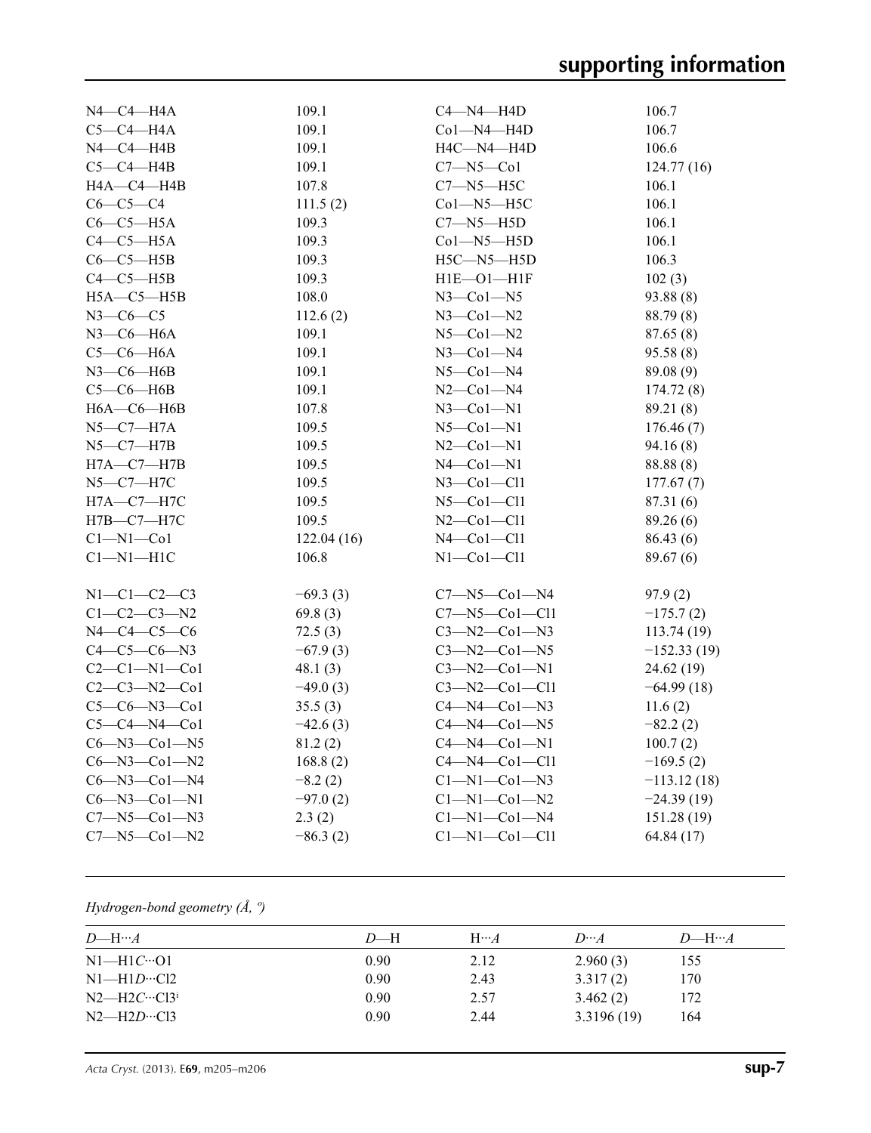| $N4$ — $C4$ — $H4A$  | 109.1      | $C4 - N4 - H4D$        | 106.7         |
|----------------------|------------|------------------------|---------------|
| $C5-C4-H4A$          | 109.1      | Co1-N4-H4D             | 106.7         |
| N4-C4-H4B            | 109.1      | H4C-N4-H4D             | 106.6         |
| $C5-C4-HAB$          | 109.1      | $C7 - N5 - C01$        | 124.77(16)    |
| <b>H4A-C4-H4B</b>    | 107.8      | $C7 - N5 - H5C$        | 106.1         |
| $C6-C5-C4$           | 111.5(2)   | Co1-N5-H5C             | 106.1         |
| $C6-C5-H5A$          | 109.3      | $C7 - N5 - H5D$        | 106.1         |
| $C4-C5-H5A$          | 109.3      | $Co1 - N5 - H5D$       | 106.1         |
| $C6-C5-H5B$          | 109.3      | $H5C - N5 - H5D$       | 106.3         |
| $C4-C5-H5B$          | 109.3      | $H1E-O1-H1F$           | 102(3)        |
| $H5A - C5 - H5B$     | 108.0      | $N3$ —Col—N5           | 93.88 (8)     |
| $N3-C6-C5$           | 112.6(2)   | $N3$ –Col–N2           | 88.79 (8)     |
| $N3$ –C6–H6A         | 109.1      | $N5$ -Col- $N2$        | 87.65(8)      |
| $C5-C6-H6A$          | 109.1      | $N3$ —Col—N4           | 95.58 (8)     |
| $N3$ –C6–H6B         | 109.1      | $N5$ — $Co1$ — $N4$    | 89.08 (9)     |
| $C5-C6-H6B$          | 109.1      | $N2$ —Co $1$ —N4       | 174.72(8)     |
| $H6A - C6 - H6B$     | 107.8      | $N3$ —Col—N1           | 89.21 (8)     |
| $N5-C7-H7A$          | 109.5      | $N5$ — $Co1$ — $N1$    | 176.46(7)     |
| N5—C7—H7B            | 109.5      | $N2$ —Col—N1           | 94.16 (8)     |
| H7A-C7-H7B           | 109.5      | $N4$ —Col—N1           | 88.88 (8)     |
| N5–C7–H7C            | 109.5      | $N3$ –Col–Cll          | 177.67(7)     |
| H7A-C7-H7C           | 109.5      | $N5$ -Col-Cll          | 87.31 (6)     |
| Н7В-С7-Н7С           | 109.5      | $N2$ -Co1-Cl1          | 89.26(6)      |
| $Cl-M1-C01$          | 122.04(16) | $N4$ –Col–Cll          | 86.43(6)      |
| $Cl-M1-H1C$          | 106.8      | $N1$ — $Co1$ — $Cl1$   | 89.67 (6)     |
| $N1 - C1 - C2 - C3$  | $-69.3(3)$ | $C7 - N5 - C01 - N4$   | 97.9(2)       |
| $C1-C2-C3-N2$        | 69.8(3)    | $C7 - N5 - Co1 - Cl1$  | $-175.7(2)$   |
| $N4 - C4 - C5 - C6$  | 72.5(3)    | $C3 - N2 - C01 - N3$   | 113.74(19)    |
| $C4-C5-C6-N3$        | $-67.9(3)$ | $C3 - N2 - Co1 - N5$   | $-152.33(19)$ |
| $C2 - C1 - N1 - C01$ | 48.1(3)    | $C3 - N2 - Co1 - N1$   | 24.62 (19)    |
| $C2-C3-N2-C01$       | $-49.0(3)$ | $C3 - N2 - Co1 - Cl1$  | $-64.99(18)$  |
| $C5-C6-N3-C01$       | 35.5(3)    | $C4 - N4 - C01 - N3$   | 11.6(2)       |
| $C5 - C4 - N4 - C01$ | $-42.6(3)$ | $C4 - N4 - Co1 - N5$   | $-82.2(2)$    |
| $C6 - N3 - C01 - N5$ | 81.2(2)    | $C4 - N4 - Co1 - N1$   | 100.7(2)      |
| $C6 - N3 - C01 - N2$ | 168.8(2)   | $C4 - N4 - Co1 - Cl1$  | $-169.5(2)$   |
| $C6 - N3 - C01 - N4$ | $-8.2(2)$  | $Cl-M1$ — $Co1$ — $N3$ | $-113.12(18)$ |
| $C6 - N3 - C01 - N1$ | $-97.0(2)$ | $C1 - N1 - Co1 - N2$   | $-24.39(19)$  |
| $C7 - N5 - C01 - N3$ | 2.3(2)     | $Cl-M1$ -Col-N4        | 151.28(19)    |
| $C7 - N5 - C01 - N2$ | $-86.3(2)$ | $Cl-M1-Co1-C11$        | 64.84 (17)    |

## *Hydrogen-bond geometry (Å, º)*

| D—H  | $H \cdots A$ | $D\cdots A$ | $D$ —H… $A$ |
|------|--------------|-------------|-------------|
| 0.90 | 2.12         | 2.960(3)    | 155         |
| 0.90 | 2.43         | 3.317(2)    | 170         |
| 0.90 | 2.57         | 3.462(2)    | 172         |
| 0.90 | 2.44         | 3.3196(19)  | 164         |
|      |              |             |             |